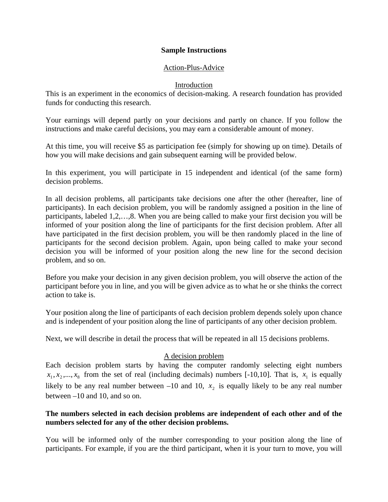#### **Sample Instructions**

## Action-Plus-Advice

### Introduction

This is an experiment in the economics of decision-making. A research foundation has provided funds for conducting this research.

Your earnings will depend partly on your decisions and partly on chance. If you follow the instructions and make careful decisions, you may earn a considerable amount of money.

At this time, you will receive \$5 as participation fee (simply for showing up on time). Details of how you will make decisions and gain subsequent earning will be provided below.

In this experiment, you will participate in 15 independent and identical (of the same form) decision problems.

In all decision problems, all participants take decisions one after the other (hereafter, line of participants). In each decision problem, you will be randomly assigned a position in the line of participants, labeled 1,2,…,8. When you are being called to make your first decision you will be informed of your position along the line of participants for the first decision problem. After all have participated in the first decision problem, you will be then randomly placed in the line of participants for the second decision problem. Again, upon being called to make your second decision you will be informed of your position along the new line for the second decision problem, and so on.

Before you make your decision in any given decision problem, you will observe the action of the participant before you in line, and you will be given advice as to what he or she thinks the correct action to take is.

Your position along the line of participants of each decision problem depends solely upon chance and is independent of your position along the line of participants of any other decision problem.

Next, we will describe in detail the process that will be repeated in all 15 decisions problems.

## A decision problem

Each decision problem starts by having the computer randomly selecting eight numbers  $x_1, x_2, \ldots, x_8$  from the set of real (including decimals) numbers [-10,10]. That is,  $x_1$  is equally likely to be any real number between  $-10$  and 10,  $x<sub>2</sub>$  is equally likely to be any real number between –10 and 10, and so on.

## **The numbers selected in each decision problems are independent of each other and of the numbers selected for any of the other decision problems.**

You will be informed only of the number corresponding to your position along the line of participants. For example, if you are the third participant, when it is your turn to move, you will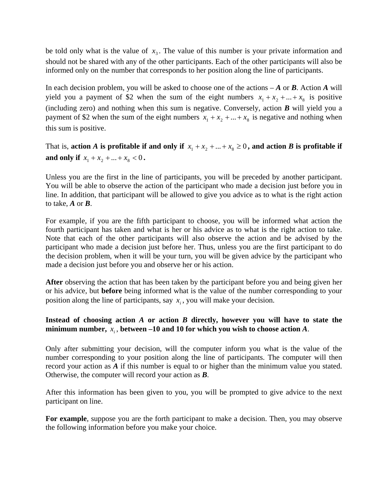be told only what is the value of  $x<sub>3</sub>$ . The value of this number is your private information and should not be shared with any of the other participants. Each of the other participants will also be informed only on the number that corresponds to her position along the line of participants.

In each decision problem, you will be asked to choose one of the actions  $-A$  or  $B$ . Action  $A$  will yield you a payment of \$2 when the sum of the eight numbers  $x_1 + x_2 + ... + x_8$  is positive (including zero) and nothing when this sum is negative. Conversely, action *B* will yield you a payment of \$2 when the sum of the eight numbers  $x_1 + x_2 + ... + x_8$  is negative and nothing when this sum is positive.

That is, **action** *A* is profitable if and only if  $x_1 + x_2 + ... + x_8 \ge 0$ , and action *B* is profitable if **and only if**  $x_1 + x_2 + ... + x_8 < 0$ .

Unless you are the first in the line of participants, you will be preceded by another participant. You will be able to observe the action of the participant who made a decision just before you in line. In addition, that participant will be allowed to give you advice as to what is the right action to take, *A* or *B*.

For example, if you are the fifth participant to choose, you will be informed what action the fourth participant has taken and what is her or his advice as to what is the right action to take. Note that each of the other participants will also observe the action and be advised by the participant who made a decision just before her. Thus, unless you are the first participant to do the decision problem, when it will be your turn, you will be given advice by the participant who made a decision just before you and observe her or his action.

**After** observing the action that has been taken by the participant before you and being given her or his advice, but **before** being informed what is the value of the number corresponding to your position along the line of participants, say  $x_i$ , you will make your decision.

# **Instead of choosing action** *A* **or action** *B* **directly, however you will have to state the minimum number,**  $x_i$ , between -10 and 10 for which you wish to choose action A.

Only after submitting your decision, will the computer inform you what is the value of the number corresponding to your position along the line of participants. The computer will then record your action as *A* if this number is equal to or higher than the minimum value you stated. Otherwise, the computer will record your action as *B*.

After this information has been given to you, you will be prompted to give advice to the next participant on line.

**For example**, suppose you are the forth participant to make a decision. Then, you may observe the following information before you make your choice.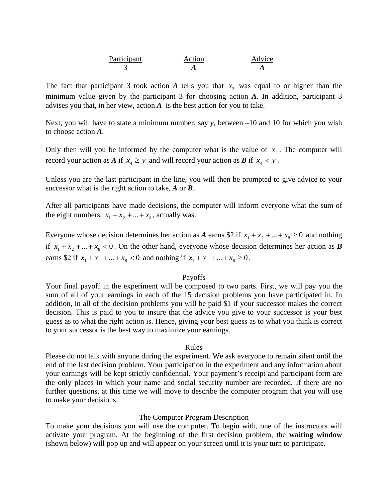| Participant | Action | Advice |
|-------------|--------|--------|
|             |        |        |

The fact that participant 3 took action  $A$  tells you that  $x_3$  was equal to or higher than the minimum value given by the participant 3 for choosing action *A*. In addition, participant 3 advises you that, in her view, action *A* is the best action for you to take.

Next, you will have to state a minimum number, say *y*, between –10 and 10 for which you wish to choose action *A*.

Only then will you be informed by the computer what is the value of  $x_4$ . The computer will record your action as *A* if  $x_4 \geq y$  and will record your action as *B* if  $x_4 < y$ .

Unless you are the last participant in the line, you will then be prompted to give advice to your successor what is the right action to take, *A* or *B*.

After all participants have made decisions, the computer will inform everyone what the sum of the eight numbers,  $x_1 + x_2 + ... + x_8$ , actually was.

Everyone whose decision determines her action as *A* earns \$2 if  $x_1 + x_2 + ... + x_8 \ge 0$  and nothing if  $x_1 + x_2 + ... + x_8 < 0$ . On the other hand, everyone whose decision determines her action as *B* earns \$2 if  $x_1 + x_2 + ... + x_8 < 0$  and nothing if  $x_1 + x_2 + ... + x_8 \ge 0$ .

#### Payoffs

Your final payoff in the experiment will be composed to two parts. First, we will pay you the sum of all of your earnings in each of the 15 decision problems you have participated in. In addition, in all of the decision problems you will be paid \$1 if your successor makes the correct decision. This is paid to you to insure that the advice you give to your successor is your best guess as to what the right action is. Hence, giving your best guess as to what you think is correct to your successor is the best way to maximize your earnings.

#### Rules

Please do not talk with anyone during the experiment. We ask everyone to remain silent until the end of the last decision problem. Your participation in the experiment and any information about your earnings will be kept strictly confidential. Your payment's receipt and participant form are the only places in which your name and social security number are recorded. If there are no further questions, at this time we will move to describe the computer program that you will use to make your decisions.

#### The Computer Program Description

To make your decisions you will use the computer. To begin with, one of the instructors will activate your program. At the beginning of the first decision problem, the **waiting window** (shown below) will pop up and will appear on your screen until it is your turn to participate.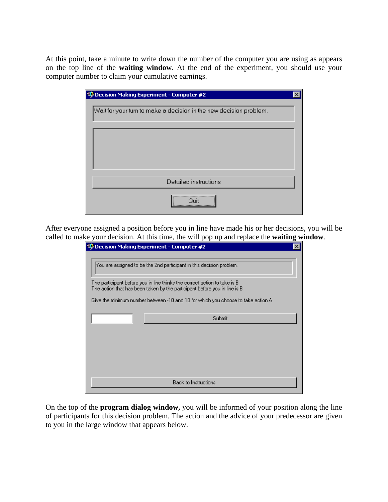At this point, take a minute to write down the number of the computer you are using as appears on the top line of the **waiting window.** At the end of the experiment, you should use your computer number to claim your cumulative earnings.

| Decision Making Experiment - Computer #2                           |  |
|--------------------------------------------------------------------|--|
|                                                                    |  |
| Wait for your turn to make a decision in the new decision problem. |  |
|                                                                    |  |
|                                                                    |  |
|                                                                    |  |
|                                                                    |  |
|                                                                    |  |
|                                                                    |  |
|                                                                    |  |
| Detailed instructions                                              |  |
|                                                                    |  |
|                                                                    |  |
|                                                                    |  |
|                                                                    |  |

After everyone assigned a position before you in line have made his or her decisions, you will be called to make your decision. At this time, the will pop up and replace the **waiting window**.

| Decision Making Experiment - Computer #2                                                                                                                                                                                                   |  |
|--------------------------------------------------------------------------------------------------------------------------------------------------------------------------------------------------------------------------------------------|--|
| You are assigned to be the 2nd participant in this decision problem.                                                                                                                                                                       |  |
| The participant before you in line thinks the correct action to take is B<br>The action that has been taken by the participant before you in line is B<br>Give the minimum number between -10 and 10 for which you choose to take action A |  |
| Submit                                                                                                                                                                                                                                     |  |
|                                                                                                                                                                                                                                            |  |
| <b>Back to Instructions</b>                                                                                                                                                                                                                |  |

On the top of the **program dialog window,** you will be informed of your position along the line of participants for this decision problem. The action and the advice of your predecessor are given to you in the large window that appears below.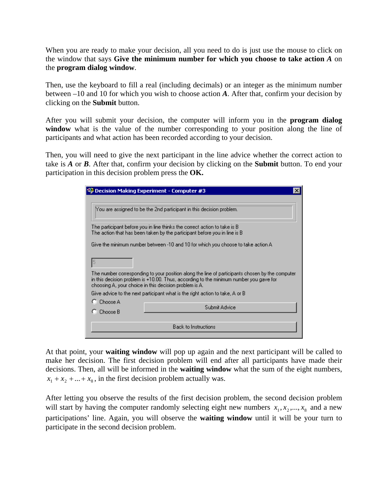When you are ready to make your decision, all you need to do is just use the mouse to click on the window that says **Give the minimum number for which you choose to take action** *A* on the **program dialog window**.

Then, use the keyboard to fill a real (including decimals) or an integer as the minimum number between –10 and 10 for which you wish to choose action *A*. After that, confirm your decision by clicking on the **Submit** button.

After you will submit your decision, the computer will inform you in the **program dialog**  window what is the value of the number corresponding to your position along the line of participants and what action has been recorded according to your decision.

Then, you will need to give the next participant in the line advice whether the correct action to take is *A* or *B*. After that, confirm your decision by clicking on the **Submit** button. To end your participation in this decision problem press the **OK.** 

| Decision Making Experiment - Computer #3                                                                                                                                                                                                            |
|-----------------------------------------------------------------------------------------------------------------------------------------------------------------------------------------------------------------------------------------------------|
|                                                                                                                                                                                                                                                     |
| You are assigned to be the 2nd participant in this decision problem.                                                                                                                                                                                |
| The participant before you in line thinks the correct action to take is B<br>The action that has been taken by the participant before you in line is B                                                                                              |
| Give the minimum number between -10 and 10 for which you choose to take action A                                                                                                                                                                    |
|                                                                                                                                                                                                                                                     |
| The number corresponding to your position along the line of participants chosen by the computer<br>in this decision problem is +10.00. Thus, according to the minimum number you gave for<br>choosing A, your choice in this decision problem is A. |
| Give advice to the next participant what is the right action to take, A or B                                                                                                                                                                        |
| Choose A                                                                                                                                                                                                                                            |
| Submit Advice<br>Choose B                                                                                                                                                                                                                           |
| Back to Instructions                                                                                                                                                                                                                                |

At that point, your **waiting window** will pop up again and the next participant will be called to make her decision. The first decision problem will end after all participants have made their decisions. Then, all will be informed in the **waiting window** what the sum of the eight numbers,  $x_1 + x_2 + ... + x_8$ , in the first decision problem actually was.

After letting you observe the results of the first decision problem, the second decision problem will start by having the computer randomly selecting eight new numbers  $x_1, x_2, ..., x_8$  and a new participations' line. Again, you will observe the **waiting window** until it will be your turn to participate in the second decision problem.